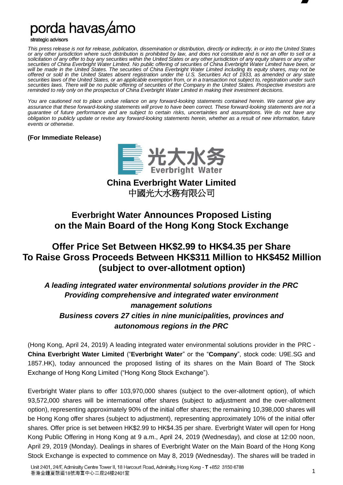

porda havas/amo

strategic advisors

*This press release is not for release, publication, dissemination or distribution, directly or indirectly, in or into the United States or any other jurisdiction where such distribution is prohibited by law, and does not constitute and is not an offer to sell or a solicitation of any offer to buy any securities within the United States or any other jurisdiction of any equity shares or any other securities of China Everbright Water Limited. No public offering of securities of China Everbright Water Limited have been, or*  will be made in the United States. The securities of China Everbright Water Limited including its equity shares, may not be *offered or sold in the United States absent registration under the U.S. Securities Act of 1933, as amended or any state securities laws of the United States, or an applicable exemption from, or in a transaction not subject to, registration under such securities laws. There will be no public offering of securities of the Company in the United States. Prospective investors are reminded to rely only on the prospectus of China Everbright Water Limited in making their investment decisions.*

*You are cautioned not to place undue reliance on any forward-looking statements contained herein. We cannot give any assurance that these forward-looking statements will prove to have been correct. These forward-looking statements are not a guarantee of future performance and are subject to certain risks, uncertainties and assumptions. We do not have any obligation to publicly update or revise any forward-looking statements herein, whether as a result of new information, future events or otherwise.*

#### **(For Immediate Release)**



**China Everbright Water Limited** 中國光大水務有限公司

## **Everbright Water Announces Proposed Listing on the Main Board of the Hong Kong Stock Exchange**

# **Offer Price Set Between HK\$2.99 to HK\$4.35 per Share To Raise Gross Proceeds Between HK\$311 Million to HK\$452 Million (subject to over-allotment option)**

*A leading integrated water environmental solutions provider in the PRC Providing comprehensive and integrated water environment management solutions Business covers 27 cities in nine municipalities, provinces and autonomous regions in the PRC*

(Hong Kong, April 24, 2019) A leading integrated water environmental solutions provider in the PRC - **China Everbright Water Limited** ("**Everbright Water**" or the "**Company**", stock code: U9E.SG and 1857.HK), today announced the proposed listing of its shares on the Main Board of The Stock Exchange of Hong Kong Limited ("Hong Kong Stock Exchange").

Everbright Water plans to offer 103,970,000 shares (subject to the over-allotment option), of which 93,572,000 shares will be international offer shares (subject to adjustment and the over-allotment option), representing approximately 90% of the initial offer shares; the remaining 10,398,000 shares will be Hong Kong offer shares (subject to adjustment), representing approximately 10% of the initial offer shares. Offer price is set between HK\$2.99 to HK\$4.35 per share. Everbright Water will open for Hong Kong Public Offering in Hong Kong at 9 a.m., April 24, 2019 (Wednesday), and close at 12:00 noon, April 29, 2019 (Monday). Dealings in shares of Everbright Water on the Main Board of the Hong Kong Stock Exchange is expected to commence on May 8, 2019 (Wednesday). The shares will be traded in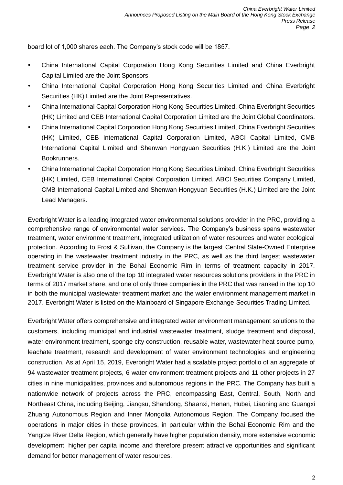board lot of 1,000 shares each. The Company's stock code will be 1857.

- China International Capital Corporation Hong Kong Securities Limited and China Everbright Capital Limited are the Joint Sponsors.
- China International Capital Corporation Hong Kong Securities Limited and China Everbright Securities (HK) Limited are the Joint Representatives.
- China International Capital Corporation Hong Kong Securities Limited, China Everbright Securities (HK) Limited and CEB International Capital Corporation Limited are the Joint Global Coordinators.
- China International Capital Corporation Hong Kong Securities Limited, China Everbright Securities (HK) Limited, CEB International Capital Corporation Limited, ABCI Capital Limited, CMB International Capital Limited and Shenwan Hongyuan Securities (H.K.) Limited are the Joint Bookrunners.
- China International Capital Corporation Hong Kong Securities Limited, China Everbright Securities (HK) Limited, CEB International Capital Corporation Limited, ABCI Securities Company Limited, CMB International Capital Limited and Shenwan Hongyuan Securities (H.K.) Limited are the Joint Lead Managers.

Everbright Water is a leading integrated water environmental solutions provider in the PRC, providing a comprehensive range of environmental water services. The Company's business spans wastewater treatment, water environment treatment, integrated utilization of water resources and water ecological protection. According to Frost & Sullivan, the Company is the largest Central State-Owned Enterprise operating in the wastewater treatment industry in the PRC, as well as the third largest wastewater treatment service provider in the Bohai Economic Rim in terms of treatment capacity in 2017. Everbright Water is also one of the top 10 integrated water resources solutions providers in the PRC in terms of 2017 market share, and one of only three companies in the PRC that was ranked in the top 10 in both the municipal wastewater treatment market and the water environment management market in 2017. Everbright Water is listed on the Mainboard of Singapore Exchange Securities Trading Limited.

Everbright Water offers comprehensive and integrated water environment management solutions to the customers, including municipal and industrial wastewater treatment, sludge treatment and disposal, water environment treatment, sponge city construction, reusable water, wastewater heat source pump, leachate treatment, research and development of water environment technologies and engineering construction. As at April 15, 2019, Everbright Water had a scalable project portfolio of an aggregate of 94 wastewater treatment projects, 6 water environment treatment projects and 11 other projects in 27 cities in nine municipalities, provinces and autonomous regions in the PRC. The Company has built a nationwide network of projects across the PRC, encompassing East, Central, South, North and Northeast China, including Beijing, Jiangsu, Shandong, Shaanxi, Henan, Hubei, Liaoning and Guangxi Zhuang Autonomous Region and Inner Mongolia Autonomous Region. The Company focused the operations in major cities in these provinces, in particular within the Bohai Economic Rim and the Yangtze River Delta Region, which generally have higher population density, more extensive economic development, higher per capita income and therefore present attractive opportunities and significant demand for better management of water resources.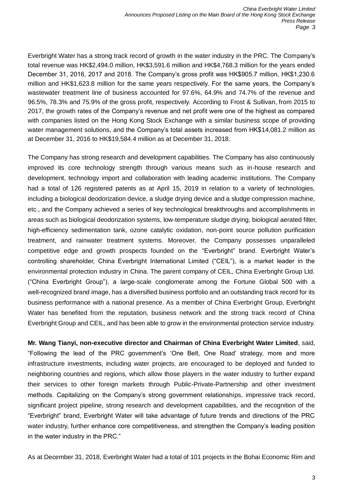Everbright Water has a strong track record of growth in the water industry in the PRC. The Company's total revenue was HK\$2,494.0 million, HK\$3,591.6 million and HK\$4,768.3 million for the years ended December 31, 2016, 2017 and 2018. The Company's gross profit was HK\$905.7 million, HK\$1,230.6 million and HK\$1,623.8 million for the same years respectively. For the same years, the Company's wastewater treatment line of business accounted for 97.6%, 64.9% and 74.7% of the revenue and 96.5%, 78.3% and 75.9% of the gross profit, respectively. According to Frost & Sullivan, from 2015 to 2017, the growth rates of the Company's revenue and net profit were one of the highest as compared with companies listed on the Hong Kong Stock Exchange with a similar business scope of providing water management solutions, and the Company's total assets increased from HK\$14,081.2 million as at December 31, 2016 to HK\$19,584.4 million as at December 31, 2018.

The Company has strong research and development capabilities. The Company has also continuously improved its core technology strength through various means such as in-house research and development, technology import and collaboration with leading academic institutions. The Company had a total of 126 registered patents as at April 15, 2019 in relation to a variety of technologies, including a biological deodorization device, a sludge drying device and a sludge compression machine, etc., and the Company achieved a series of key technological breakthroughs and accomplishments in areas such as biological deodorization systems, low-temperature sludge drying, biological aerated filter, high-efficiency sedimentation tank, ozone catalytic oxidation, non-point source pollution purification treatment, and rainwater treatment systems. Moreover, the Company possesses unparalleled competitive edge and growth prospects founded on the "Everbright" brand. Everbright Water's controlling shareholder, China Everbright International Limited ("CEIL"), is a market leader in the environmental protection industry in China. The parent company of CEIL, China Everbright Group Ltd. ("China Everbright Group"), a large-scale conglomerate among the Fortune Global 500 with a well-recognized brand image, has a diversified business portfolio and an outstanding track record for its business performance with a national presence. As a member of China Everbright Group, Everbright Water has benefited from the reputation, business network and the strong track record of China Everbright Group and CEIL, and has been able to grow in the environmental protection service industry.

**Mr. Wang Tianyi, non-executive director and Chairman of China Everbright Water Limited**, said, "Following the lead of the PRC government's 'One Belt, One Road' strategy, more and more infrastructure investments, including water projects, are encouraged to be deployed and funded to neighboring countries and regions, which allow those players in the water industry to further expand their services to other foreign markets through Public-Private-Partnership and other investment methods. Capitalizing on the Company's strong government relationships, impressive track record, significant project pipeline, strong research and development capabilities, and the recognition of the "Everbright" brand, Everbright Water will take advantage of future trends and directions of the PRC water industry, further enhance core competitiveness, and strengthen the Company's leading position in the water industry in the PRC."

As at December 31, 2018, Everbright Water had a total of 101 projects in the Bohai Economic Rim and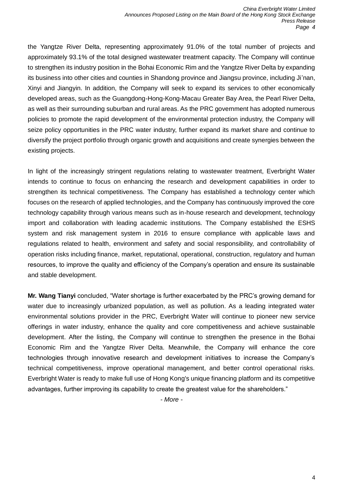the Yangtze River Delta, representing approximately 91.0% of the total number of projects and approximately 93.1% of the total designed wastewater treatment capacity. The Company will continue to strengthen its industry position in the Bohai Economic Rim and the Yangtze River Delta by expanding its business into other cities and counties in Shandong province and Jiangsu province, including Ji'nan, Xinyi and Jiangyin. In addition, the Company will seek to expand its services to other economically developed areas, such as the Guangdong-Hong-Kong-Macau Greater Bay Area, the Pearl River Delta, as well as their surrounding suburban and rural areas. As the PRC government has adopted numerous policies to promote the rapid development of the environmental protection industry, the Company will seize policy opportunities in the PRC water industry, further expand its market share and continue to diversify the project portfolio through organic growth and acquisitions and create synergies between the existing projects.

In light of the increasingly stringent regulations relating to wastewater treatment, Everbright Water intends to continue to focus on enhancing the research and development capabilities in order to strengthen its technical competitiveness. The Company has established a technology center which focuses on the research of applied technologies, and the Company has continuously improved the core technology capability through various means such as in-house research and development, technology import and collaboration with leading academic institutions. The Company established the ESHS system and risk management system in 2016 to ensure compliance with applicable laws and regulations related to health, environment and safety and social responsibility, and controllability of operation risks including finance, market, reputational, operational, construction, regulatory and human resources, to improve the quality and efficiency of the Company's operation and ensure its sustainable and stable development.

**Mr. Wang Tianyi** concluded, "Water shortage is further exacerbated by the PRC's growing demand for water due to increasingly urbanized population, as well as pollution. As a leading integrated water environmental solutions provider in the PRC, Everbright Water will continue to pioneer new service offerings in water industry, enhance the quality and core competitiveness and achieve sustainable development. After the listing, the Company will continue to strengthen the presence in the Bohai Economic Rim and the Yangtze River Delta. Meanwhile, the Company will enhance the core technologies through innovative research and development initiatives to increase the Company's technical competitiveness, improve operational management, and better control operational risks. Everbright Water is ready to make full use of Hong Kong's unique financing platform and its competitive advantages, further improving its capability to create the greatest value for the shareholders."

*- More -*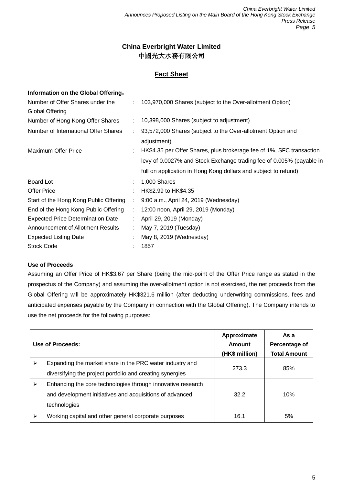## **China Everbright Water Limited** 中國光大水務有限公司

## **Fact Sheet**

| Information on the Global Offering:      |                               |                                                                            |
|------------------------------------------|-------------------------------|----------------------------------------------------------------------------|
| Number of Offer Shares under the         |                               | : 103,970,000 Shares (subject to the Over-allotment Option)                |
| Global Offering                          |                               |                                                                            |
| Number of Hong Kong Offer Shares         |                               | : 10,398,000 Shares (subject to adjustment)                                |
| Number of International Offer Shares     |                               | 93,572,000 Shares (subject to the Over-allotment Option and<br>adjustment) |
| <b>Maximum Offer Price</b>               |                               | HK\$4.35 per Offer Shares, plus brokerage fee of 1%, SFC transaction       |
|                                          |                               | levy of 0.0027% and Stock Exchange trading fee of 0.005% (payable in       |
|                                          |                               | full on application in Hong Kong dollars and subject to refund)            |
| Board Lot                                |                               | 1,000 Shares                                                               |
| <b>Offer Price</b>                       |                               | HK\$2.99 to HK\$4.35                                                       |
| Start of the Hong Kong Public Offering   | ÷.                            | 9:00 a.m., April 24, 2019 (Wednesday)                                      |
| End of the Hong Kong Public Offering     | $\mathcal{I}^{\mathcal{I}}$ . | 12:00 noon, April 29, 2019 (Monday)                                        |
| <b>Expected Price Determination Date</b> |                               | April 29, 2019 (Monday)                                                    |
| Announcement of Allotment Results        |                               | May 7, 2019 (Tuesday)                                                      |
| <b>Expected Listing Date</b>             |                               | May 8, 2019 (Wednesday)                                                    |
| <b>Stock Code</b>                        |                               | 1857                                                                       |
|                                          |                               |                                                                            |

### **Use of Proceeds**

Assuming an Offer Price of HK\$3.67 per Share (being the mid-point of the Offer Price range as stated in the prospectus of the Company) and assuming the over-allotment option is not exercised, the net proceeds from the Global Offering will be approximately HK\$321.6 million (after deducting underwriting commissions, fees and anticipated expenses payable by the Company in connection with the Global Offering). The Company intends to use the net proceeds for the following purposes:

|   | Use of Proceeds:                                                                                                                        | Approximate<br>Amount<br>(HK\$ million) | As a<br>Percentage of<br><b>Total Amount</b> |
|---|-----------------------------------------------------------------------------------------------------------------------------------------|-----------------------------------------|----------------------------------------------|
| ⋗ | Expanding the market share in the PRC water industry and<br>diversifying the project portfolio and creating synergies                   | 273.3                                   | 85%                                          |
| ⋗ | Enhancing the core technologies through innovative research<br>and development initiatives and acquisitions of advanced<br>technologies | 32.2                                    | 10%                                          |
| ≻ | Working capital and other general corporate purposes                                                                                    | 16.1                                    | 5%                                           |